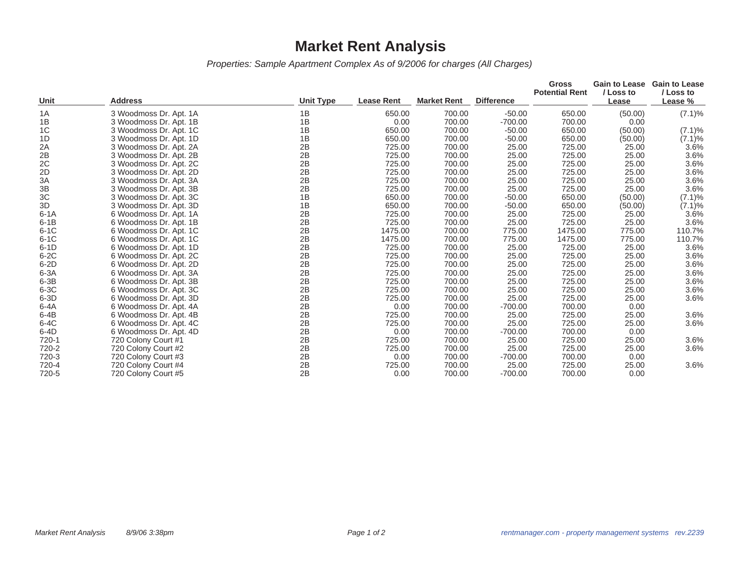## **Market Rent Analysis**

*Properties: Sample Apartment Complex As of 9/2006 for charges (All Charges)*

|                |                        |                  |                   |                    |                   | <b>Gross</b><br><b>Potential Rent</b> | <b>Gain to Lease</b><br>/ Loss to | <b>Gain to Lease</b><br>/ Loss to |
|----------------|------------------------|------------------|-------------------|--------------------|-------------------|---------------------------------------|-----------------------------------|-----------------------------------|
| Unit           | Address                | <b>Unit Type</b> | <b>Lease Rent</b> | <b>Market Rent</b> | <b>Difference</b> |                                       | Lease                             | Lease %                           |
| 1A             | 3 Woodmoss Dr. Apt. 1A | 1B               | 650.00            | 700.00             | $-50.00$          | 650.00                                | (50.00)                           | $(7.1)\%$                         |
| 1B             | 3 Woodmoss Dr. Apt. 1B | 1B               | 0.00              | 700.00             | $-700.00$         | 700.00                                | 0.00                              |                                   |
| 1 <sup>C</sup> | 3 Woodmoss Dr. Apt. 1C | 1B               | 650.00            | 700.00             | $-50.00$          | 650.00                                | (50.00)                           | $(7.1)\%$                         |
| 1D             | 3 Woodmoss Dr. Apt. 1D | 1B               | 650.00            | 700.00             | $-50.00$          | 650.00                                | (50.00)                           | $(7.1)\%$                         |
| 2A             | 3 Woodmoss Dr. Apt. 2A | 2B               | 725.00            | 700.00             | 25.00             | 725.00                                | 25.00                             | 3.6%                              |
| 2B             | 3 Woodmoss Dr. Apt. 2B | 2B               | 725.00            | 700.00             | 25.00             | 725.00                                | 25.00                             | 3.6%                              |
| 2C             | 3 Woodmoss Dr. Apt. 2C | 2B               | 725.00            | 700.00             | 25.00             | 725.00                                | 25.00                             | 3.6%                              |
| 2D             | 3 Woodmoss Dr. Apt. 2D | 2B               | 725.00            | 700.00             | 25.00             | 725.00                                | 25.00                             | 3.6%                              |
| 3A             | 3 Woodmoss Dr. Apt. 3A | 2B               | 725.00            | 700.00             | 25.00             | 725.00                                | 25.00                             | 3.6%                              |
| 3B             | 3 Woodmoss Dr. Apt. 3B | 2B               | 725.00            | 700.00             | 25.00             | 725.00                                | 25.00                             | 3.6%                              |
| 3C             | 3 Woodmoss Dr. Apt. 3C | 1B               | 650.00            | 700.00             | $-50.00$          | 650.00                                | (50.00)                           | (7.1)%                            |
| 3D             | 3 Woodmoss Dr. Apt. 3D | 1B               | 650.00            | 700.00             | $-50.00$          | 650.00                                | (50.00)                           | $(7.1)\%$                         |
| $6-1A$         | 6 Woodmoss Dr. Apt. 1A | 2B               | 725.00            | 700.00             | 25.00             | 725.00                                | 25.00                             | 3.6%                              |
| $6-1B$         | 6 Woodmoss Dr. Apt. 1B | 2B               | 725.00            | 700.00             | 25.00             | 725.00                                | 25.00                             | 3.6%                              |
| $6-1C$         | 6 Woodmoss Dr. Apt. 1C | 2B               | 1475.00           | 700.00             | 775.00            | 1475.00                               | 775.00                            | 110.7%                            |
| $6-1C$         | 6 Woodmoss Dr. Apt. 1C | 2B               | 1475.00           | 700.00             | 775.00            | 1475.00                               | 775.00                            | 110.7%                            |
| $6-1D$         | 6 Woodmoss Dr. Apt. 1D | 2B               | 725.00            | 700.00             | 25.00             | 725.00                                | 25.00                             | 3.6%                              |
| $6-2C$         | 6 Woodmoss Dr. Apt. 2C | 2B               | 725.00            | 700.00             | 25.00             | 725.00                                | 25.00                             | 3.6%                              |
| $6-2D$         | 6 Woodmoss Dr. Apt. 2D | 2B               | 725.00            | 700.00             | 25.00             | 725.00                                | 25.00                             | 3.6%                              |
| $6-3A$         | 6 Woodmoss Dr. Apt. 3A | 2B               | 725.00            | 700.00             | 25.00             | 725.00                                | 25.00                             | 3.6%                              |
| $6-3B$         | 6 Woodmoss Dr. Apt. 3B | 2B               | 725.00            | 700.00             | 25.00             | 725.00                                | 25.00                             | 3.6%                              |
| $6-3C$         | 6 Woodmoss Dr. Apt. 3C | 2B               | 725.00            | 700.00             | 25.00             | 725.00                                | 25.00                             | 3.6%                              |
| $6-3D$         | 6 Woodmoss Dr. Apt. 3D | 2B               | 725.00            | 700.00             | 25.00             | 725.00                                | 25.00                             | 3.6%                              |
| $6-4A$         | 6 Woodmoss Dr. Apt. 4A | 2B               | 0.00              | 700.00             | $-700.00$         | 700.00                                | 0.00                              |                                   |
| $6-4B$         | 6 Woodmoss Dr. Apt. 4B | 2B               | 725.00            | 700.00             | 25.00             | 725.00                                | 25.00                             | 3.6%                              |
| $6-4C$         | 6 Woodmoss Dr. Apt. 4C | 2B               | 725.00            | 700.00             | 25.00             | 725.00                                | 25.00                             | 3.6%                              |
| $6-4D$         | 6 Woodmoss Dr. Apt. 4D | 2B               | 0.00              | 700.00             | $-700.00$         | 700.00                                | 0.00                              |                                   |
| 720-1          | 720 Colony Court #1    | 2B               | 725.00            | 700.00             | 25.00             | 725.00                                | 25.00                             | 3.6%                              |
| 720-2          | 720 Colony Court #2    | 2B               | 725.00            | 700.00             | 25.00             | 725.00                                | 25.00                             | 3.6%                              |
| 720-3          | 720 Colony Court #3    | 2B               | 0.00              | 700.00             | $-700.00$         | 700.00                                | 0.00                              |                                   |
| 720-4          | 720 Colony Court #4    | 2B               | 725.00            | 700.00             | 25.00             | 725.00                                | 25.00                             | 3.6%                              |
| 720-5          | 720 Colony Court #5    | 2B               | 0.00              | 700.00             | $-700.00$         | 700.00                                | 0.00                              |                                   |